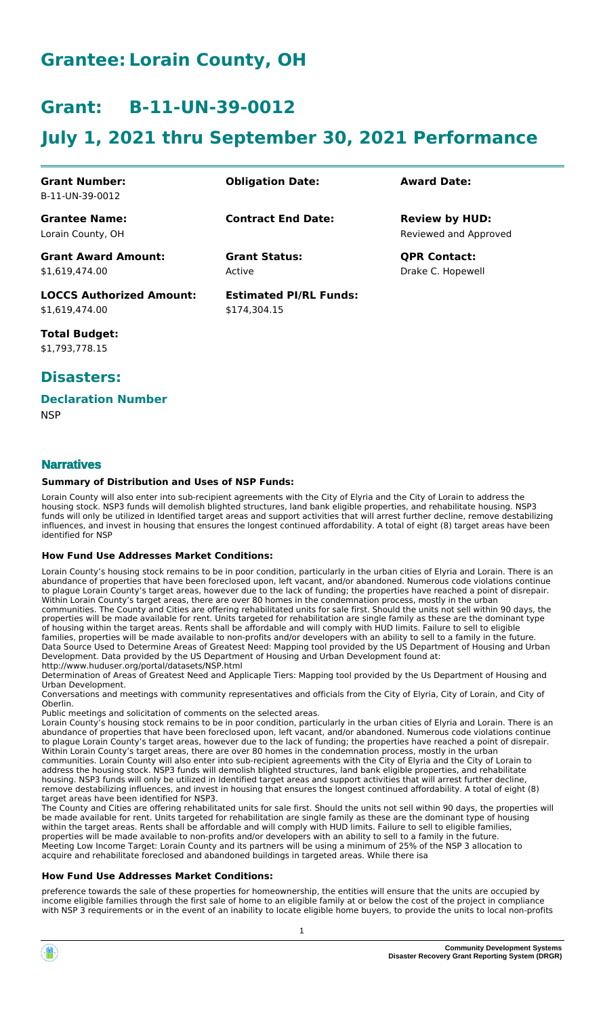## **Grantee: Lorain County, OH**

## **Grant: B-11-UN-39-0012**

# **July 1, 2021 thru September 30, 2021 Performance**

| <b>Grant Number:</b>            | <b>Obligation Date:</b>       | <b>Award Date:</b>    |
|---------------------------------|-------------------------------|-----------------------|
| B-11-UN-39-0012                 |                               |                       |
| <b>Grantee Name:</b>            | <b>Contract End Date:</b>     | <b>Review by HUD:</b> |
| Lorain County, OH               |                               | Reviewed and Approved |
| <b>Grant Award Amount:</b>      | <b>Grant Status:</b>          | <b>QPR Contact:</b>   |
| \$1,619,474.00                  | Active                        | Drake C. Hopewell     |
| <b>LOCCS Authorized Amount:</b> | <b>Estimated PI/RL Funds:</b> |                       |
| \$1,619,474.00                  | \$174.304.15                  |                       |

**Total Budget:** \$1,793,778.15

### **Disasters:**

#### **Declaration Number**

**NSP** 

### **Narratives**

#### **Summary of Distribution and Uses of NSP Funds:**

Lorain County will also enter into sub-recipient agreements with the City of Elyria and the City of Lorain to address the housing stock. NSP3 funds will demolish blighted structures, land bank eligible properties, and rehabilitate housing. NSP3 funds will only be utilized in Identified target areas and support activities that will arrest further decline, remove destabilizing influences, and invest in housing that ensures the longest continued affordability. A total of eight (8) target areas have been identified for NSP

#### **How Fund Use Addresses Market Conditions:**

Lorain County's housing stock remains to be in poor condition, particularly in the urban cities of Elyria and Lorain. There is an abundance of properties that have been foreclosed upon, left vacant, and/or abandoned. Numerous code violations continue to plague Lorain County's target areas, however due to the lack of funding; the properties have reached a point of disrepair. Within Lorain County's target areas, there are over 80 homes in the condemnation process, mostly in the urban communities. The County and Cities are offering rehabilitated units for sale first. Should the units not sell within 90 days, the properties will be made available for rent. Units targeted for rehabilitation are single family as these are the dominant type of housing within the target areas. Rents shall be affordable and will comply with HUD limits. Failure to sell to eligible families, properties will be made available to non-profits and/or developers with an ability to sell to a family in the future. Data Source Used to Determine Areas of Greatest Need: Mapping tool provided by the US Department of Housing and Urban Development. Data provided by the US Department of Housing and Urban Development found at: http://www.huduser.org/portal/datasets/NSP.html

Determination of Areas of Greatest Need and Applicaple Tiers: Mapping tool provided by the Us Department of Housing and Urban Development.

Conversations and meetings with community representatives and officials from the City of Elyria, City of Lorain, and City of Oberlin.

Public meetings and solicitation of comments on the selected areas.

Lorain County's housing stock remains to be in poor condition, particularly in the urban cities of Elyria and Lorain. There is an abundance of properties that have been foreclosed upon, left vacant, and/or abandoned. Numerous code violations continue to plague Lorain County's target areas, however due to the lack of funding; the properties have reached a point of disrepair. Within Lorain County's target areas, there are over 80 homes in the condemnation process, mostly in the urban communities. Lorain County will also enter into sub-recipient agreements with the City of Elyria and the City of Lorain to address the housing stock. NSP3 funds will demolish blighted structures, land bank eligible properties, and rehabilitate housing. NSP3 funds will only be utilized in Identified target areas and support activities that will arrest further decline, remove destabilizing influences, and invest in housing that ensures the longest continued affordability. A total of eight (8) target areas have been identified for NSP3.

The County and Cities are offering rehabilitated units for sale first. Should the units not sell within 90 days, the properties will be made available for rent. Units targeted for rehabilitation are single family as these are the dominant type of housing within the target areas. Rents shall be affordable and will comply with HUD limits. Failure to sell to eligible families, properties will be made available to non-profits and/or developers with an ability to sell to a family in the future. Meeting Low Income Target: Lorain County and its partners will be using a minimum of 25% of the NSP 3 allocation to acquire and rehabilitate foreclosed and abandoned buildings in targeted areas. While there isa

#### **How Fund Use Addresses Market Conditions:**

preference towards the sale of these properties for homeownership, the entities will ensure that the units are occupied by income eligible families through the first sale of home to an eligible family at or below the cost of the project in compliance with NSP 3 requirements or in the event of an inability to locate eligible home buyers, to provide the units to local non-profits

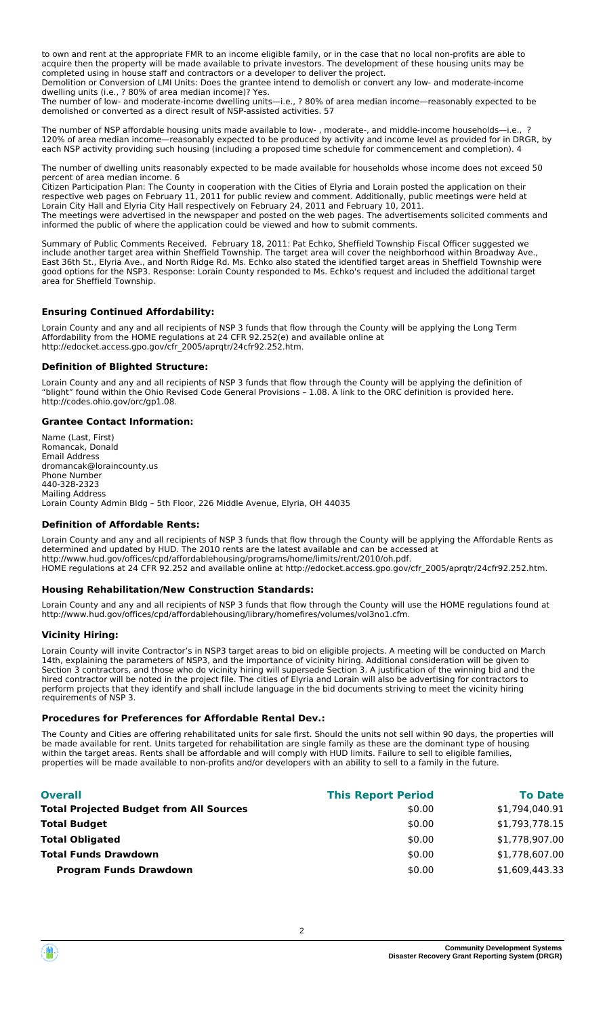to own and rent at the appropriate FMR to an income eligible family, or in the case that no local non-profits are able to acquire then the property will be made available to private investors. The development of these housing units may be completed using in house staff and contractors or a developer to deliver the project.

Demolition or Conversion of LMI Units: Does the grantee intend to demolish or convert any low- and moderate-income dwelling units (i.e., ? 80% of area median income)? Yes.

The number of low- and moderate-income dwelling units—i.e., ? 80% of area median income—reasonably expected to be demolished or converted as a direct result of NSP-assisted activities. 57

The number of NSP affordable housing units made available to low- , moderate-, and middle-income households—i.e., ? 120% of area median income—reasonably expected to be produced by activity and income level as provided for in DRGR, by each NSP activity providing such housing (including a proposed time schedule for commencement and completion). 4

The number of dwelling units reasonably expected to be made available for households whose income does not exceed 50 percent of area median income. 6

Citizen Participation Plan: The County in cooperation with the Cities of Elyria and Lorain posted the application on their respective web pages on February 11, 2011 for public review and comment. Additionally, public meetings were held at Lorain City Hall and Elyria City Hall respectively on February 24, 2011 and February 10, 2011. The meetings were advertised in the newspaper and posted on the web pages. The advertisements solicited comments and informed the public of where the application could be viewed and how to submit comments.

Summary of Public Comments Received. February 18, 2011: Pat Echko, Sheffield Township Fiscal Officer suggested we include another target area within Sheffield Township. The target area will cover the neighborhood within Broadway Ave., East 36th St., Elyria Ave., and North Ridge Rd. Ms. Echko also stated the identified target areas in Sheffield Township were good options for the NSP3. Response: Lorain County responded to Ms. Echko's request and included the additional target area for Sheffield Township.

#### **Ensuring Continued Affordability:**

Lorain County and any and all recipients of NSP 3 funds that flow through the County will be applying the Long Term Affordability from the HOME regulations at 24 CFR 92.252(e) and available online at http://edocket.access.gpo.gov/cfr\_2005/aprqtr/24cfr92.252.htm.

#### **Definition of Blighted Structure:**

Lorain County and any and all recipients of NSP 3 funds that flow through the County will be applying the definition of "blight" found within the Ohio Revised Code General Provisions – 1.08. A link to the ORC definition is provided here. http://codes.ohio.gov/orc/gp1.08.

#### **Grantee Contact Information:**

Name (Last, First) Romancak, Donald Email Address dromancak@loraincounty.us Phone Number 440-328-2323 Mailing Address Lorain County Admin Bldg – 5th Floor, 226 Middle Avenue, Elyria, OH 44035

#### **Definition of Affordable Rents:**

Lorain County and any and all recipients of NSP 3 funds that flow through the County will be applying the Affordable Rents as determined and updated by HUD. The 2010 rents are the latest available and can be accessed at http://www.hud.gov/offices/cpd/affordablehousing/programs/home/limits/rent/2010/oh.pdf. HOME regulations at 24 CFR 92.252 and available online at http://edocket.access.gpo.gov/cfr\_2005/aprqtr/24cfr92.252.htm.

#### **Housing Rehabilitation/New Construction Standards:**

Lorain County and any and all recipients of NSP 3 funds that flow through the County will use the HOME regulations found at http://www.hud.gov/offices/cpd/affordablehousing/library/homefires/volumes/vol3no1.cfm.

#### **Vicinity Hiring:**

Lorain County will invite Contractor's in NSP3 target areas to bid on eligible projects. A meeting will be conducted on March 14th, explaining the parameters of NSP3, and the importance of vicinity hiring. Additional consideration will be given to Section 3 contractors, and those who do vicinity hiring will supersede Section 3. A justification of the winning bid and the hired contractor will be noted in the project file. The cities of Elyria and Lorain will also be advertising for contractors to perform projects that they identify and shall include language in the bid documents striving to meet the vicinity hiring requirements of NSP 3.

#### **Procedures for Preferences for Affordable Rental Dev.:**

The County and Cities are offering rehabilitated units for sale first. Should the units not sell within 90 days, the properties will be made available for rent. Units targeted for rehabilitation are single family as these are the dominant type of housing within the target areas. Rents shall be affordable and will comply with HUD limits. Failure to sell to eligible families, properties will be made available to non-profits and/or developers with an ability to sell to a family in the future.

| <b>Overall</b>                                 | <b>This Report Period</b> | <b>To Date</b> |
|------------------------------------------------|---------------------------|----------------|
| <b>Total Projected Budget from All Sources</b> | \$0.00                    | \$1,794,040.91 |
| <b>Total Budget</b>                            | \$0.00                    | \$1,793,778.15 |
| <b>Total Obligated</b>                         | \$0.00                    | \$1,778,907.00 |
| <b>Total Funds Drawdown</b>                    | \$0.00                    | \$1,778,607.00 |
| <b>Program Funds Drawdown</b>                  | \$0.00                    | \$1,609,443.33 |